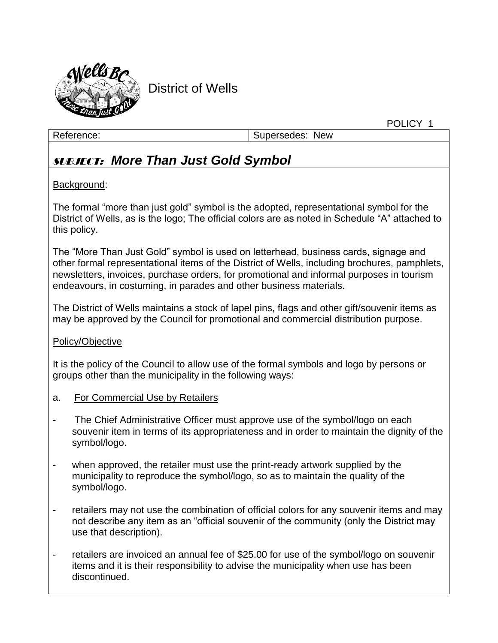

District of Wells

Reference: Supersedes: New

POLICY 1

# SUBJECT: *More Than Just Gold Symbol*

## Background:

The formal "more than just gold" symbol is the adopted, representational symbol for the District of Wells, as is the logo; The official colors are as noted in Schedule "A" attached to this policy.

The "More Than Just Gold" symbol is used on letterhead, business cards, signage and other formal representational items of the District of Wells, including brochures, pamphlets, newsletters, invoices, purchase orders, for promotional and informal purposes in tourism endeavours, in costuming, in parades and other business materials.

The District of Wells maintains a stock of lapel pins, flags and other gift/souvenir items as may be approved by the Council for promotional and commercial distribution purpose.

### Policy/Objective

It is the policy of the Council to allow use of the formal symbols and logo by persons or groups other than the municipality in the following ways:

- a. For Commercial Use by Retailers
- The Chief Administrative Officer must approve use of the symbol/logo on each souvenir item in terms of its appropriateness and in order to maintain the dignity of the symbol/logo.
- when approved, the retailer must use the print-ready artwork supplied by the municipality to reproduce the symbol/logo, so as to maintain the quality of the symbol/logo.
- retailers may not use the combination of official colors for any souvenir items and may not describe any item as an "official souvenir of the community (only the District may use that description).
- retailers are invoiced an annual fee of \$25.00 for use of the symbol/logo on souvenir items and it is their responsibility to advise the municipality when use has been discontinued.